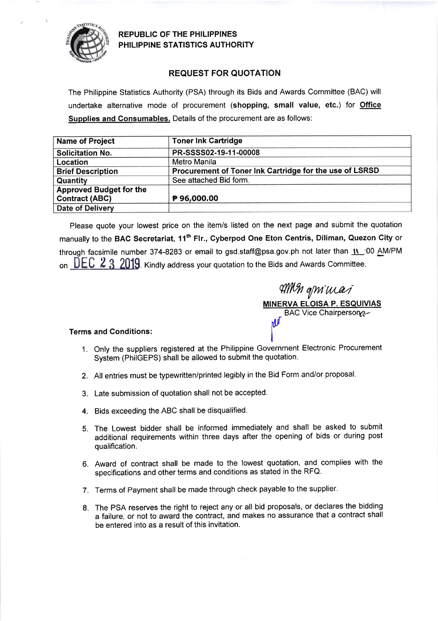

REPUBLIC OF THE PHILIPPINES PHILIPPINE STATISTICS AUTHORITY

## REQUEST FOR QUOTATION

The Philippine Statistics Authority (PSA) through its Bids and Awards Committee (BAC) will undertake alternative mode of procurement (shopping, small value, etc.) for Office Supplies and Consumables. Details of the procurement are as follows:

| <b>Name of Project</b>         | <b>Toner Ink Cartridge</b>                              |
|--------------------------------|---------------------------------------------------------|
| <b>Solicitation No.</b>        | PR-SSSS02-19-11-00008                                   |
| Location                       | Metro Manila                                            |
| <b>Brief Description</b>       | Procurement of Toner Ink Cartridge for the use of LSRSD |
| Quantity                       | See attached Bid form.                                  |
| <b>Approved Budget for the</b> |                                                         |
| <b>Contract (ABC)</b>          | P96,000.00                                              |
| Date of Delivery               |                                                         |

Please quote your lowest price on the item/s listed on the next page and submit the quotation manually to the BAC Secretariat, 11<sup>th</sup> Flr., Cyberpod One Eton Centris, Diliman, Quezon City or through facsimile number 374-8283 or email to gsd.staff@psa.gov.ph not later than  $\overline{11}$ :00 AM/PM on  $\overline{DEC}$   $\overline{2}$  3 2019. Kindly address your quotation to the Bids and Awards Committee.

ql'llfu *y*... *po* cat, **MINERVA ELOISA P. ESQUIVIAS** BAC Vice Chairperson llur

## Terms and Conditions: <sup>I</sup>

1. Only the suppliers registered at the Philippine Government Electronic Procurement System (PhilGEPS) shall be allowed to submit the quotation.

I

- 2. All entries must be typewritten/printed legibly in the Bid Form and/or proposal.
- 3. Late submission of quotation shall not be accepted.
- 4. Bids exceeding the ABC shall be disqualified.
- 5. The Lowest bidder shall be informed immediately and shall be asked to submit additional requirements within three days after the opening of bids or during post qualification.
- 6. Award of contract shall be made to the lowest quotation, and complies with the specifications and other terms and conditions as stated in the RFQ.
- 7. Terms of Payment shall be made through check payable to the supplier.
- 8. The PSA reserves the right to reject any or all bid proposals, or declares the bidding a failure, or not to award the contract, and makes no assurance that a contract shall be entered into as a result of this invitation.